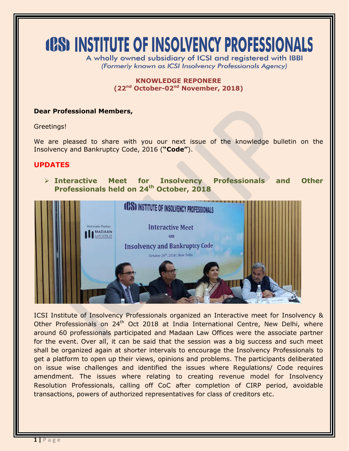# **(CS) INSTITUTE OF INSOLVENCY PROFESSIONALS**

A wholly owned subsidiary of ICSI and registered with IBBI (Formerly known as ICSI Insolvency Professionals Agency)

### **KNOWLEDGE REPONERE (22nd October-02 nd November, 2018)**

## **Dear Professional Members,**

Greetings!

We are pleased to share with you our next issue of the knowledge bulletin on the Insolvency and Bankruptcy Code, 2016 (**"Code"**).

## **UPDATES**

 **Interactive Meet for Insolvency Professionals and Other Professionals held on 24th October, 2018**



ICSI Institute of Insolvency Professionals organized an Interactive meet for Insolvency & Other Professionals on 24<sup>th</sup> Oct 2018 at India International Centre, New Delhi, where around 60 professionals participated and Madaan Law Offices were the associate partner for the event. Over all, it can be said that the session was a big success and such meet shall be organized again at shorter intervals to encourage the Insolvency Professionals to get a platform to open up their views, opinions and problems. The participants deliberated on issue wise challenges and identified the issues where Regulations/ Code requires amendment. The issues where relating to creating revenue model for Insolvency Resolution Professionals, calling off CoC after completion of CIRP period, avoidable transactions, powers of authorized representatives for class of creditors etc.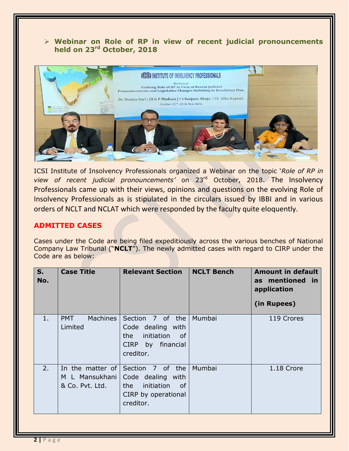## **Webinar on Role of RP in view of recent judicial pronouncements held on 23rd October, 2018**



ICSI Institute of Insolvency Professionals organized a Webinar on the topic '*Role of RP in view of recent judicial pronouncements'* on 23rd October, 2018. The Insolvency Professionals came up with their views, opinions and questions on the evolving Role of Insolvency Professionals as is stipulated in the circulars issued by IBBI and in various orders of NCLT and NCLAT which were responded by the faculty quite eloquently.

## **ADMITTED CASES**

Cases under the Code are being filed expeditiously across the various benches of National Company Law Tribunal ("**NCLT**"). The newly admitted cases with regard to CIRP under the Code are as below:

| $S_{1}$<br>No. | <b>Case Title</b>                                     | <b>Relevant Section</b>                                                                                  | <b>NCLT Bench</b> | <b>Amount in default</b><br>as mentioned in<br>application<br>(in Rupees) |
|----------------|-------------------------------------------------------|----------------------------------------------------------------------------------------------------------|-------------------|---------------------------------------------------------------------------|
| $1$ .          | <b>Machines</b><br><b>PMT</b><br>Limited              | Section 7 of the<br>Code dealing with<br>initiation<br>of<br>the l<br>CIRP by financial<br>creditor.     | Mumbai            | 119 Crores                                                                |
| 2.             | In the matter of<br>M L Mansukhani<br>& Co. Pvt. Ltd. | Section 7 of the<br>Code dealing with<br>initiation<br>the l<br>of -<br>CIRP by operational<br>creditor. | Mumbai            | 1.18 Crore                                                                |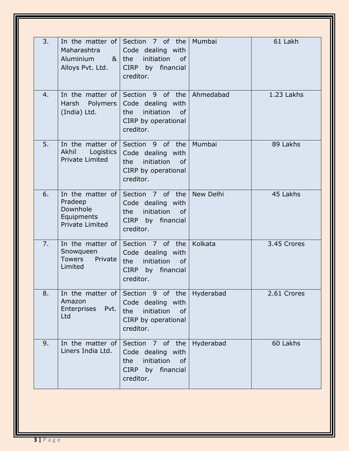| 3. | Maharashtra<br>Aluminium<br>Alloys Pvt. Ltd.                                    | In the matter of Section $\overline{7}$ of the<br>Code dealing with<br>$8$ the<br>initiation<br><b>of</b><br>CIRP by financial<br>creditor. | Mumbai           | 61 Lakh     |
|----|---------------------------------------------------------------------------------|---------------------------------------------------------------------------------------------------------------------------------------------|------------------|-------------|
| 4. | In the matter of<br>Polymers<br>Harsh<br>(India) Ltd.                           | Section 9 of the<br>Code dealing with<br>initiation<br><b>of</b><br>the<br>CIRP by operational<br>creditor.                                 | Ahmedabad        | 1.23 Lakhs  |
| 5. | In the matter of<br>Akhil<br>Logistics<br><b>Private Limited</b>                | Section 9 of the<br>Code dealing with<br>initiation<br>the<br><sub>of</sub><br>CIRP by operational<br>creditor.                             | Mumbai           | 89 Lakhs    |
| 6. | In the matter of<br>Pradeep<br>Downhole<br>Equipments<br><b>Private Limited</b> | Section 7 of the<br>Code dealing with<br>initiation<br>the<br><b>of</b><br>CIRP by financial<br>creditor.                                   | <b>New Delhi</b> | 45 Lakhs    |
| 7. | In the matter of<br>Snowqueen<br>Private<br><b>Towers</b><br>Limited            | Section 7 of the<br>Code dealing with<br>initiation<br>the<br>of<br><b>CIRP</b><br>by financial<br>creditor.                                | Kolkata          | 3.45 Crores |
| 8. | Amazon<br>Enterprises<br>Pvt.<br>Ltd                                            | In the matter of Section 9 of the<br>Code dealing with<br>initiation<br>the<br><b>of</b><br>CIRP by operational<br>creditor.                | Hyderabad        | 2.61 Crores |
| 9. | In the matter of<br>Liners India Ltd.                                           | Section 7 of the<br>Code dealing with<br>initiation<br>the<br><b>of</b><br>CIRP by financial<br>creditor.                                   | Hyderabad        | 60 Lakhs    |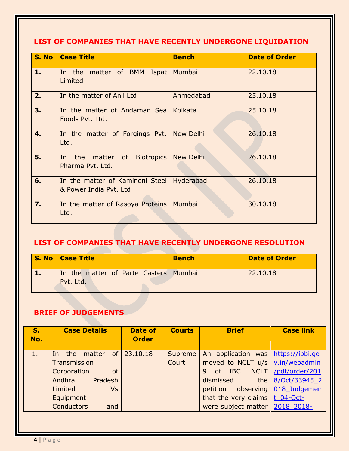# **LIST OF COMPANIES THAT HAVE RECENTLY UNDERGONE LIQUIDATION**

| S. No            | <b>Case Title</b>                                                                                                                                                               | <b>Bench</b>     | <b>Date of Order</b> |
|------------------|---------------------------------------------------------------------------------------------------------------------------------------------------------------------------------|------------------|----------------------|
| 1.               | In the matter of BMM Ispat<br>Limited                                                                                                                                           | Mumbai           | 22.10.18             |
| 2.               | In the matter of Anil Ltd                                                                                                                                                       | Ahmedabad        | 25.10.18             |
| 3.               | In the matter of Andaman Sea<br>Foods Pvt. Ltd.                                                                                                                                 | Kolkata          | 25.10.18             |
| 4.               | In the matter of Forgings Pvt.<br>Ltd.                                                                                                                                          | <b>New Delhi</b> | 26.10.18             |
| 5.               | <b>Biotropics</b><br>the<br>of the contract of the contract of the contract of the contract of the contract of the contract of the contract<br>matter<br>In<br>Pharma Pyt. Ltd. | <b>New Delhi</b> | 26.10.18             |
| 6.               | In the matter of Kamineni Steel<br>& Power India Pvt. Ltd                                                                                                                       | Hyderabad        | 26.10.18             |
| $\overline{7}$ . | In the matter of Rasoya Proteins<br>Ltd.                                                                                                                                        | Mumbai           | 30.10.18             |

# **LIST OF COMPANIES THAT HAVE RECENTLY UNDERGONE RESOLUTION**

| <b>S. No   Case Title</b>                            | <b>Bench</b> | <b>Date of Order</b> |
|------------------------------------------------------|--------------|----------------------|
| In the matter of Parte Casters   Mumbai<br>Pvt. Ltd. |              | 22.10.18             |

# **BRIEF OF JUDGEMENTS**

| <b>S.</b><br>No. | <b>Case Details</b>            | Date of<br><b>Order</b> | <b>Courts</b> | <b>Brief</b>                               | <b>Case link</b>  |
|------------------|--------------------------------|-------------------------|---------------|--------------------------------------------|-------------------|
|                  | the matter of $23.10.18$<br>In |                         | Supreme       | An application was   https://ibbi.go       |                   |
|                  | Transmission                   |                         | Court         | moved to NCLT $u/s$ $\sqrt{v.in/webadmin}$ |                   |
|                  | <b>of</b><br>Corporation       |                         |               | of IBC. NCLT /pdf/order/201<br>9           |                   |
|                  | Andhra Pradesh                 |                         |               | dismissed                                  | the 8/Oct/33945 2 |
|                  | Limited<br><b>Vs</b>           |                         |               | petition observing 018 Judgemen            |                   |
|                  | Equipment                      |                         |               | that the very claims t 04-Oct-             |                   |
|                  | <b>Conductors</b><br>and       |                         |               | were subject matter   2018 2018-           |                   |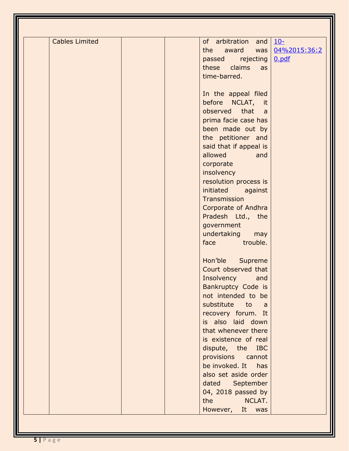| <b>Cables Limited</b> | of arbitration and                                                                                                        | $10-$        |
|-----------------------|---------------------------------------------------------------------------------------------------------------------------|--------------|
|                       | the<br>award<br>$was \mid$                                                                                                | 04%2015:36:2 |
|                       | passed rejecting                                                                                                          | 0.pdf        |
|                       | these<br>claims<br>as                                                                                                     |              |
|                       | time-barred.                                                                                                              |              |
|                       |                                                                                                                           |              |
|                       |                                                                                                                           |              |
|                       | In the appeal filed                                                                                                       |              |
|                       | before NCLAT, it                                                                                                          |              |
|                       | observed that<br>$\overline{a}$                                                                                           |              |
|                       | prima facie case has                                                                                                      |              |
|                       | been made out by                                                                                                          |              |
|                       | the petitioner and                                                                                                        |              |
|                       | said that if appeal is                                                                                                    |              |
|                       | allowed<br>and                                                                                                            |              |
|                       | corporate                                                                                                                 |              |
|                       | insolvency                                                                                                                |              |
|                       | resolution process is                                                                                                     |              |
|                       | initiated<br>against                                                                                                      |              |
|                       | Transmission                                                                                                              |              |
|                       | Corporate of Andhra                                                                                                       |              |
|                       | Pradesh Ltd., the                                                                                                         |              |
|                       | government                                                                                                                |              |
|                       | undertaking may                                                                                                           |              |
|                       | face trouble.                                                                                                             |              |
|                       |                                                                                                                           |              |
|                       | Hon'ble Supreme                                                                                                           |              |
|                       | Court observed that                                                                                                       |              |
|                       |                                                                                                                           |              |
|                       | Insolvency<br>and                                                                                                         |              |
|                       | Bankruptcy Code is                                                                                                        |              |
|                       | not intended to be                                                                                                        |              |
|                       | substitute to a                                                                                                           |              |
|                       | recovery forum. It                                                                                                        |              |
|                       | is also laid down                                                                                                         |              |
|                       | that whenever there                                                                                                       |              |
|                       | is existence of real                                                                                                      |              |
|                       | dispute, the IBC                                                                                                          |              |
|                       | provisions cannot                                                                                                         |              |
|                       | be invoked. It has                                                                                                        |              |
|                       | also set aside order                                                                                                      |              |
|                       | dated September                                                                                                           |              |
|                       | 04, 2018 passed by                                                                                                        |              |
|                       | the the state of the state of the state of the state of the state of the state of the state of the state of the<br>NCLAT. |              |
|                       | However, It was                                                                                                           |              |
|                       |                                                                                                                           |              |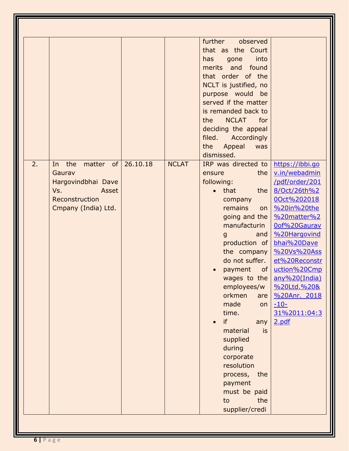|    |                                                                                                                      |              | further observed<br>that as the Court<br>has<br>into<br>gone<br>merits and found<br>that order of the<br>NCLT is justified, no<br>purpose would be<br>served if the matter<br>is remanded back to<br><b>NCLAT</b><br>the<br>for<br>deciding the appeal<br>filed. Accordingly<br>the<br>Appeal<br>was<br>dismissed.                                                                                                                                                        |                                                                                                                                                                                                                                                                                                                |
|----|----------------------------------------------------------------------------------------------------------------------|--------------|---------------------------------------------------------------------------------------------------------------------------------------------------------------------------------------------------------------------------------------------------------------------------------------------------------------------------------------------------------------------------------------------------------------------------------------------------------------------------|----------------------------------------------------------------------------------------------------------------------------------------------------------------------------------------------------------------------------------------------------------------------------------------------------------------|
| 2. | In the matter of $26.10.18$<br>Gaurav<br>Hargovindbhai Dave<br>Vs.<br>Asset<br>Reconstruction<br>Cmpany (India) Ltd. | <b>NCLAT</b> | IRP was directed to<br>the  <br>ensure<br>following:<br><b>that</b><br>the<br>$\bullet$<br>company<br>remains<br>on<br>going and the<br>manufacturin<br>and<br>$\mathbf{g}$<br>production of<br>the company<br>do not suffer.<br>payment<br>of<br>employees/w<br>orkmen<br>are<br>made<br>on<br>time.<br>if<br>any<br>material<br><b>is</b><br>supplied<br>during<br>corporate<br>resolution<br>process,<br>the<br>payment<br>must be paid<br>the<br>to<br>supplier/credi | https://ibbi.go<br>v.in/webadmin<br>/pdf/order/201<br>8/Oct/26th%2<br>00ct%202018<br>%20in%20the<br>%20matter%2<br>Oof%20Gaurav<br>%20Hargovind<br>bhai%20Dave<br>%20Vs%20Ass<br>et%20Reconstr<br>uction%20Cmp<br>wages to the any%20(India)<br>%20Ltd.%20&<br>%20Anr. 2018<br>$-10-$<br>31%2011:04:3<br>2.pdf |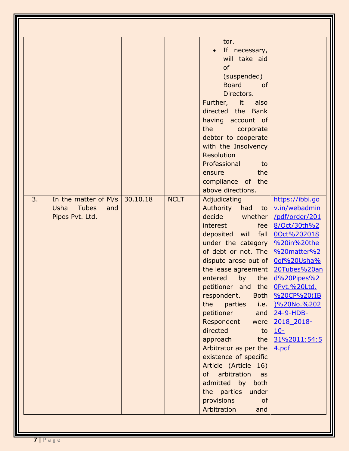|    |                                                                                 |          |             | tor.<br>If necessary,<br>will take aid<br>of<br>(suspended)<br><b>Board</b><br><b>of</b><br>Directors.<br>Further, it also<br>directed the Bank<br>having account of<br>the<br>corporate<br>debtor to cooperate<br>with the Insolvency<br><b>Resolution</b><br>Professional<br>to<br>the<br>ensure<br>compliance of the<br>above directions.                                                                                                                                                                                                                                        |                                                                                                                                                                                                                                                            |
|----|---------------------------------------------------------------------------------|----------|-------------|-------------------------------------------------------------------------------------------------------------------------------------------------------------------------------------------------------------------------------------------------------------------------------------------------------------------------------------------------------------------------------------------------------------------------------------------------------------------------------------------------------------------------------------------------------------------------------------|------------------------------------------------------------------------------------------------------------------------------------------------------------------------------------------------------------------------------------------------------------|
| 3. | In the matter of $M/s$<br><b>Usha</b><br><b>Tubes</b><br>and<br>Pipes Pvt. Ltd. | 30.10.18 | <b>NCLT</b> | Adjudicating<br>Authority had to <u>v.in/webadmin</u><br>decide whether<br>interest<br>fee<br>deposited will fall<br>under the category<br>of debt or not. The<br>dispute arose out of $ $<br>the lease agreement<br>$entered$ by the<br>petitioner and the <u>OPvt.%20Ltd.</u><br>respondent.<br>the<br>parties<br>petitioner<br>Respondent were<br>directed<br>to<br>approach<br>the $\vert$<br>Arbitrator as per the<br>existence of specific<br>Article (Article 16)<br>of arbitration<br>as<br>admitted by both<br>the parties under<br>provisions<br>of<br>Arbitration<br>and | https://ibbi.go<br>/pdf/order/201<br>8/Oct/30th%2<br>00ct%202018<br>%20in%20the<br>%20matter%2<br>0of%20Usha%<br>20Tubes%20an<br>d%20Pipes%2<br>Both   %20CP%20(IB<br>i.e. 1%20No.%202<br>and $24-9-HDB$ -<br>2018 2018-<br>$10-$<br>31%2011:54:5<br>4.pdf |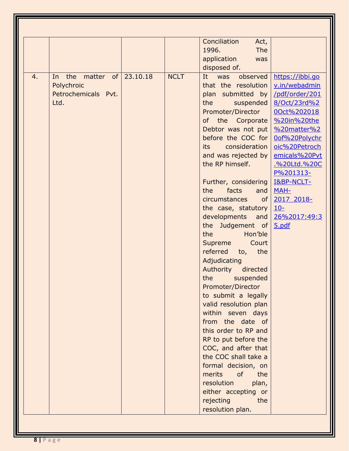|    |                                                                     |          |             | Conciliation<br>Act,<br>1996.<br><b>The</b><br>application<br>was<br>disposed of.                                                                                                                                                                                                                                                                                                                                                                                                                                                                                                                                                                                                                                                                                                                                                                      |                                                                                                                                                                                                                                                                                   |
|----|---------------------------------------------------------------------|----------|-------------|--------------------------------------------------------------------------------------------------------------------------------------------------------------------------------------------------------------------------------------------------------------------------------------------------------------------------------------------------------------------------------------------------------------------------------------------------------------------------------------------------------------------------------------------------------------------------------------------------------------------------------------------------------------------------------------------------------------------------------------------------------------------------------------------------------------------------------------------------------|-----------------------------------------------------------------------------------------------------------------------------------------------------------------------------------------------------------------------------------------------------------------------------------|
| 4. | the<br>matter of<br>In<br>Polychroic<br>Petrochemicals Pvt.<br>Ltd. | 23.10.18 | <b>NCLT</b> | It was<br>observed<br>that the resolution<br>plan submitted by<br>the<br>suspended<br>Promoter/Director<br>of the Corporate<br>Debtor was not put<br>before the COC for<br>consideration<br>its<br>and was rejected by<br>the RP himself.<br>Further, considering<br>the<br>facts<br>and<br>circumstances<br>of<br>the case, statutory<br>developments and<br>the Judgement of<br>the<br>Hon'ble<br>Supreme<br>Court<br>referred<br>to, the<br>Adjudicating<br>Authority<br>directed<br>the suspended<br>Promoter/Director<br>to submit a legally<br>valid resolution plan<br>within seven days<br>from the date of<br>this order to RP and<br>RP to put before the<br>COC, and after that<br>the COC shall take a<br>formal decision, on<br>merits<br>of<br>the<br>resolution<br>plan,<br>either accepting or<br>rejecting<br>the<br>resolution plan. | https://ibbi.go<br>v.in/webadmin<br>/pdf/order/201<br>8/Oct/23rd%2<br>00ct%202018<br>%20in%20the<br>%20matter%2<br>0of%20Polychr<br>oic%20Petroch<br>emicals%20Pvt<br>.%20Ltd.%20C<br>P%201313-<br><b>I&amp;BP-NCLT-</b><br>MAH-<br>2017 2018-<br>$10 -$<br>26%2017:49:3<br>5.pdf |